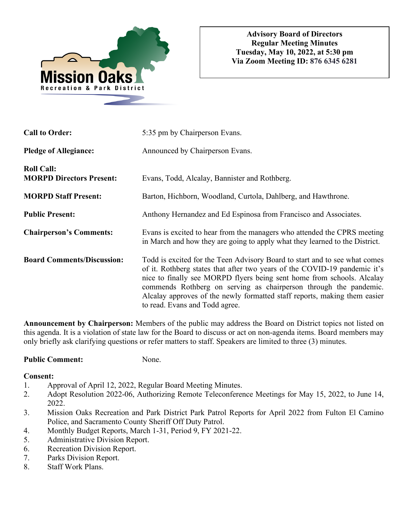

| <b>Call to Order:</b>                                | 5:35 pm by Chairperson Evans.                                                                                                                                                                                                                                                                                                                                                                                         |
|------------------------------------------------------|-----------------------------------------------------------------------------------------------------------------------------------------------------------------------------------------------------------------------------------------------------------------------------------------------------------------------------------------------------------------------------------------------------------------------|
| <b>Pledge of Allegiance:</b>                         | Announced by Chairperson Evans.                                                                                                                                                                                                                                                                                                                                                                                       |
| <b>Roll Call:</b><br><b>MORPD Directors Present:</b> | Evans, Todd, Alcalay, Bannister and Rothberg.                                                                                                                                                                                                                                                                                                                                                                         |
| <b>MORPD Staff Present:</b>                          | Barton, Hichborn, Woodland, Curtola, Dahlberg, and Hawthrone.                                                                                                                                                                                                                                                                                                                                                         |
| <b>Public Present:</b>                               | Anthony Hernandez and Ed Espinosa from Francisco and Associates.                                                                                                                                                                                                                                                                                                                                                      |
| <b>Chairperson's Comments:</b>                       | Evans is excited to hear from the managers who attended the CPRS meeting<br>in March and how they are going to apply what they learned to the District.                                                                                                                                                                                                                                                               |
| <b>Board Comments/Discussion:</b>                    | Todd is excited for the Teen Advisory Board to start and to see what comes<br>of it. Rothberg states that after two years of the COVID-19 pandemic it's<br>nice to finally see MORPD flyers being sent home from schools. Alcalay<br>commends Rothberg on serving as chairperson through the pandemic.<br>Alcalay approves of the newly formatted staff reports, making them easier<br>to read. Evans and Todd agree. |

**Announcement by Chairperson:** Members of the public may address the Board on District topics not listed on this agenda. It is a violation of state law for the Board to discuss or act on non-agenda items. Board members may only briefly ask clarifying questions or refer matters to staff. Speakers are limited to three (3) minutes.

# **Public Comment:** None.

**Consent:**

1. Approval of April 12, 2022, Regular Board Meeting Minutes.

- 2. Adopt Resolution 2022-06, Authorizing Remote Teleconference Meetings for May 15, 2022, to June 14, 2022.
- 3. Mission Oaks Recreation and Park District Park Patrol Reports for April 2022 from Fulton El Camino Police, and Sacramento County Sheriff Off Duty Patrol.
- 4. Monthly Budget Reports, March 1-31, Period 9, FY 2021-22.
- 5. Administrative Division Report.
- 6. Recreation Division Report.
- 7. Parks Division Report.
- 8. Staff Work Plans.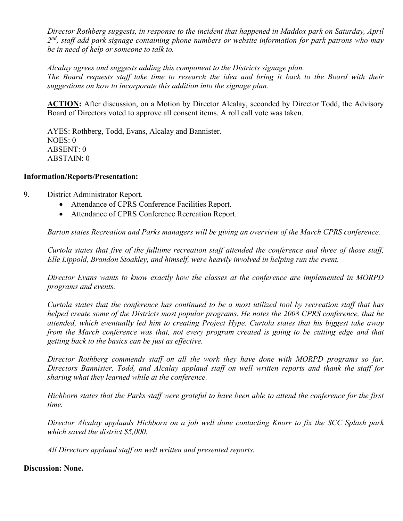*Director Rothberg suggests, in response to the incident that happened in Maddox park on Saturday, April 2nd, staff add park signage containing phone numbers or website information for park patrons who may be in need of help or someone to talk to.* 

*Alcalay agrees and suggests adding this component to the Districts signage plan. The Board requests staff take time to research the idea and bring it back to the Board with their suggestions on how to incorporate this addition into the signage plan.* 

**ACTION:** After discussion, on a Motion by Director Alcalay, seconded by Director Todd, the Advisory Board of Directors voted to approve all consent items. A roll call vote was taken.

 AYES: Rothberg, Todd, Evans, Alcalay and Bannister. NOES: 0 ABSENT: 0 ABSTAIN: 0

## **Information/Reports/Presentation:**

- 9. District Administrator Report.
	- Attendance of CPRS Conference Facilities Report.
	- Attendance of CPRS Conference Recreation Report.

*Barton states Recreation and Parks managers will be giving an overview of the March CPRS conference.* 

*Curtola states that five of the fulltime recreation staff attended the conference and three of those staff, Elle Lippold, Brandon Stoakley, and himself, were heavily involved in helping run the event.* 

*Director Evans wants to know exactly how the classes at the conference are implemented in MORPD programs and events.* 

*Curtola states that the conference has continued to be a most utilized tool by recreation staff that has helped create some of the Districts most popular programs. He notes the 2008 CPRS conference, that he attended, which eventually led him to creating Project Hype. Curtola states that his biggest take away from the March conference was that, not every program created is going to be cutting edge and that getting back to the basics can be just as effective.* 

*Director Rothberg commends staff on all the work they have done with MORPD programs so far. Directors Bannister, Todd, and Alcalay applaud staff on well written reports and thank the staff for sharing what they learned while at the conference.* 

*Hichborn states that the Parks staff were grateful to have been able to attend the conference for the first time.* 

*Director Alcalay applauds Hichborn on a job well done contacting Knorr to fix the SCC Splash park which saved the district \$5,000.* 

*All Directors applaud staff on well written and presented reports.* 

### **Discussion: None.**